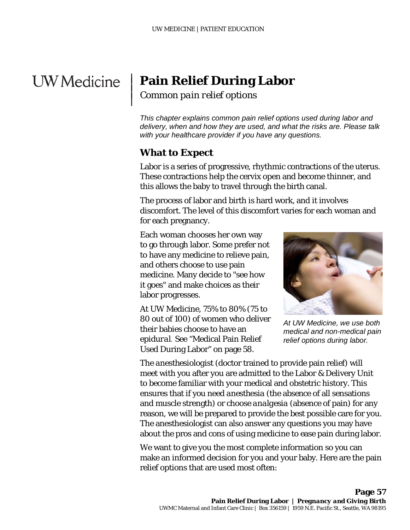# **UW** Medicine

 $\overline{\phantom{a}}$  $\vert$  $\vert$  $\vert$ 

## **Pain Relief During Labor**

*Common pain relief options*

*This chapter explains common pain relief options used during labor and delivery, when and how they are used, and what the risks are. Please talk with your healthcare provider if you have any questions.*

## **What to Expect**

Labor is a series of progressive, rhythmic contractions of the uterus. These contractions help the cervix open and become thinner, and this allows the baby to travel through the birth canal.

The process of labor and birth is hard work, and it involves discomfort. The level of this discomfort varies for each woman and for each pregnancy.

Each woman chooses her own way to go through labor. Some prefer not to have any medicine to relieve pain, and others choose to use pain medicine. Many decide to "see how it goes" and make choices as their labor progresses.

At UW Medicine, 75% to 80% (75 to 80 out of 100) of women who deliver their babies choose to have an *epidural*. See "Medical Pain Relief Used During Labor" on page 58.

\_\_\_\_\_\_\_\_\_\_\_\_\_\_\_\_\_\_\_\_\_\_\_\_\_\_\_\_\_\_\_\_\_\_\_\_\_\_\_\_\_\_\_\_\_\_\_\_\_\_\_\_\_\_\_\_\_\_\_\_\_\_\_\_\_\_\_\_\_\_\_\_\_\_\_\_\_\_\_\_\_\_\_\_\_\_\_\_\_\_\_\_\_



*At UW Medicine, we use both medical and non-medical pain relief options during labor.* 

The *anesthesiologist* (doctor trained to provide pain relief) will meet with you after you are admitted to the Labor & Delivery Unit to become familiar with your medical and obstetric history. This ensures that if you need *anesthesia* (the absence of all sensations and muscle strength) or choose *analgesia* (absence of pain) for any reason, we will be prepared to provide the best possible care for you. The anesthesiologist can also answer any questions you may have about the pros and cons of using medicine to ease pain during labor.

We want to give you the most complete information so you can make an informed decision for you and your baby. Here are the pain relief options that are used most often: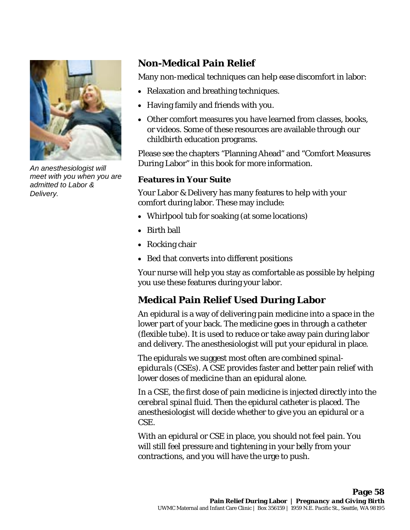

*An anesthesiologist will meet with you when you are admitted to Labor & Delivery.*

## **Non-Medical Pain Relief**

Many non-medical techniques can help ease discomfort in labor:

- Relaxation and breathing techniques.
- Having family and friends with you.
- Other comfort measures you have learned from classes, books, or videos. Some of these resources are available through our childbirth education programs.

Please see the chapters "Planning Ahead" and "Comfort Measures During Labor" in this book for more information.

#### **Features in Your Suite**

Your Labor & Delivery has many features to help with your comfort during labor. These may include:

- Whirlpool tub for soaking (at some locations)
- Birth ball
- Rocking chair
- Bed that converts into different positions

Your nurse will help you stay as comfortable as possible by helping you use these features during your labor.

## **Medical Pain Relief Used During Labor**

An epidural is a way of delivering pain medicine into a space in the lower part of your back. The medicine goes in through a *catheter*  (flexible tube). It is used to reduce or take away pain during labor and delivery. The anesthesiologist will put your epidural in place.

The epidurals we suggest most often are *combined spinalepidurals* (CSEs). A CSE provides faster and better pain relief with lower doses of medicine than an epidural alone.

In a CSE, the first dose of pain medicine is injected directly into the *cerebral spinal fluid.* Then the epidural catheter is placed. The anesthesiologist will decide whether to give you an epidural or a CSE.

With an epidural or CSE in place, you should not feel pain. You will still feel pressure and tightening in your belly from your contractions, and you will have the urge to push.

 $\_$  ,  $\_$  ,  $\_$  ,  $\_$  ,  $\_$  ,  $\_$  ,  $\_$  ,  $\_$  ,  $\_$  ,  $\_$  ,  $\_$  ,  $\_$  ,  $\_$  ,  $\_$  ,  $\_$  ,  $\_$  ,  $\_$  ,  $\_$  ,  $\_$  ,  $\_$  ,  $\_$  ,  $\_$  ,  $\_$  ,  $\_$  ,  $\_$  ,  $\_$  ,  $\_$  ,  $\_$  ,  $\_$  ,  $\_$  ,  $\_$  ,  $\_$  ,  $\_$  ,  $\_$  ,  $\_$  ,  $\_$  ,  $\_$  ,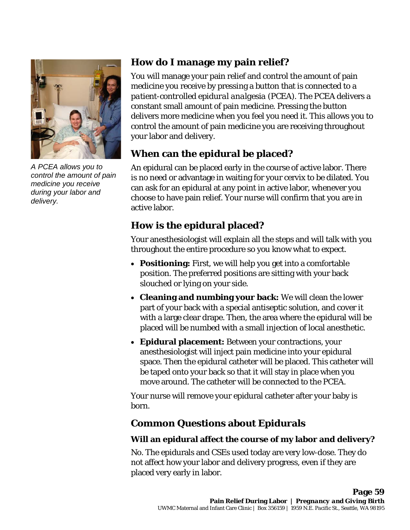

*A PCEA allows you to control the amount of pain medicine you receive during your labor and delivery.*

### **How do I manage my pain relief?**

You will manage your pain relief and control the amount of pain medicine you receive by pressing a button that is connected to a *patient-controlled epidural analgesia* (PCEA). The PCEA delivers a constant small amount of pain medicine. Pressing the button delivers more medicine when you feel you need it. This allows you to control the amount of pain medicine you are receiving throughout your labor and delivery.

## **When can the epidural be placed?**

An epidural can be placed early in the course of active labor. There is no need or advantage in waiting for your cervix to be dilated. You can ask for an epidural at any point in active labor, whenever you choose to have pain relief. Your nurse will confirm that you are in active labor.

## **How is the epidural placed?**

Your anesthesiologist will explain all the steps and will talk with you throughout the entire procedure so you know what to expect.

- **Positioning:** First, we will help you get into a comfortable position. The preferred positions are sitting with your back slouched or lying on your side.
- **Cleaning and numbing your back:** We will clean the lower part of your back with a special antiseptic solution, and cover it with a large clear drape. Then, the area where the epidural will be placed will be numbed with a small injection of local anesthetic.
- **Epidural placement:** Between your contractions, your anesthesiologist will inject pain medicine into your epidural space. Then the epidural catheter will be placed. This catheter will be taped onto your back so that it will stay in place when you move around. The catheter will be connected to the PCEA.

Your nurse will remove your epidural catheter after your baby is born.

## **Common Questions about Epidurals**

 $\_$  ,  $\_$  ,  $\_$  ,  $\_$  ,  $\_$  ,  $\_$  ,  $\_$  ,  $\_$  ,  $\_$  ,  $\_$  ,  $\_$  ,  $\_$  ,  $\_$  ,  $\_$  ,  $\_$  ,  $\_$  ,  $\_$  ,  $\_$  ,  $\_$  ,  $\_$  ,  $\_$  ,  $\_$  ,  $\_$  ,  $\_$  ,  $\_$  ,  $\_$  ,  $\_$  ,  $\_$  ,  $\_$  ,  $\_$  ,  $\_$  ,  $\_$  ,  $\_$  ,  $\_$  ,  $\_$  ,  $\_$  ,  $\_$  ,

#### **Will an epidural affect the course of my labor and delivery?**

No. The epidurals and CSEs used today are very low-dose. They do not affect how your labor and delivery progress, even if they are placed very early in labor.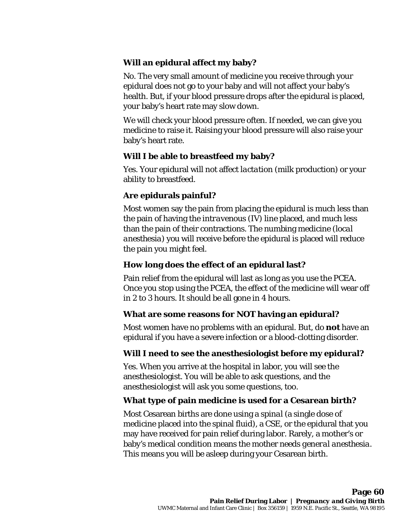#### **Will an epidural affect my baby?**

No. The very small amount of medicine you receive through your epidural does not go to your baby and will not affect your baby's health. But, if your blood pressure drops after the epidural is placed, your baby's heart rate may slow down.

We will check your blood pressure often. If needed, we can give you medicine to raise it. Raising your blood pressure will also raise your baby's heart rate.

#### **Will I be able to breastfeed my baby?**

Yes. Your epidural will not affect *lactation* (milk production) or your ability to breastfeed.

#### **Are epidurals painful?**

Most women say the pain from placing the epidural is much less than the pain of having the *intravenous* (IV) line placed, and much less than the pain of their contractions. The numbing medicine (*local anesthesia*) you will receive before the epidural is placed will reduce the pain you might feel.

#### **How long does the effect of an epidural last?**

Pain relief from the epidural will last as long as you use the PCEA. Once you stop using the PCEA, the effect of the medicine will wear off in 2 to 3 hours. It should be all gone in 4 hours.

#### **What are some reasons for NOT having an epidural?**

Most women have no problems with an epidural. But, do **not** have an epidural if you have a severe infection or a blood-clotting disorder.

#### **Will I need to see the anesthesiologist before my epidural?**

Yes. When you arrive at the hospital in labor, you will see the anesthesiologist. You will be able to ask questions, and the anesthesiologist will ask you some questions, too.

 $\_$  ,  $\_$  ,  $\_$  ,  $\_$  ,  $\_$  ,  $\_$  ,  $\_$  ,  $\_$  ,  $\_$  ,  $\_$  ,  $\_$  ,  $\_$  ,  $\_$  ,  $\_$  ,  $\_$  ,  $\_$  ,  $\_$  ,  $\_$  ,  $\_$  ,  $\_$  ,  $\_$  ,  $\_$  ,  $\_$  ,  $\_$  ,  $\_$  ,  $\_$  ,  $\_$  ,  $\_$  ,  $\_$  ,  $\_$  ,  $\_$  ,  $\_$  ,  $\_$  ,  $\_$  ,  $\_$  ,  $\_$  ,  $\_$  ,

#### **What type of pain medicine is used for a Cesarean birth?**

Most Cesarean births are done using a *spinal* (a single dose of medicine placed into the spinal fluid), a CSE, or the epidural that you may have received for pain relief during labor*.* Rarely, a mother's or baby's medical condition means the mother needs *general anesthesia*. This means you will be asleep during your Cesarean birth.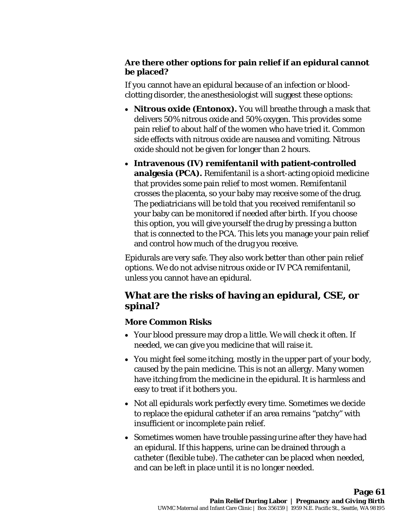#### **Are there other options for pain relief if an epidural cannot be placed?**

If you cannot have an epidural because of an infection or bloodclotting disorder, the anesthesiologist will suggest these options:

- **Nitrous oxide (Entonox).** You will breathe through a mask that delivers 50% nitrous oxide and 50% oxygen. This provides some pain relief to about half of the women who have tried it. Common side effects with nitrous oxide are nausea and vomiting. Nitrous oxide should not be given for longer than 2 hours.
- **Intravenous (IV)** *remifentanil* **with patient-controlled analgesia (PCA).** Remifentanil is a short-acting *opioid* medicine that provides some pain relief to most women. Remifentanil crosses the placenta, so your baby may receive some of the drug. The pediatricians will be told that you received remifentanil so your baby can be monitored if needed after birth. If you choose this option, you will give yourself the drug by pressing a button that is connected to the PCA. This lets you manage your pain relief and control how much of the drug you receive.

Epidurals are very safe. They also work better than other pain relief options. We do not advise nitrous oxide or IV PCA remifentanil, unless you cannot have an epidural.

## **What are the risks of having an epidural, CSE, or spinal?**

#### **More Common Risks**

- Your blood pressure may drop a little. We will check it often. If needed, we can give you medicine that will raise it.
- You might feel some itching, mostly in the upper part of your body, caused by the pain medicine. This is not an allergy. Many women have itching from the medicine in the epidural. It is harmless and easy to treat if it bothers you.
- Not all epidurals work perfectly every time. Sometimes we decide to replace the epidural catheter if an area remains "patchy" with insufficient or incomplete pain relief.
- Sometimes women have trouble passing urine after they have had an epidural. If this happens, urine can be drained through a *catheter* (flexible tube). The catheter can be placed when needed, and can be left in place until it is no longer needed.

 $\_$  ,  $\_$  ,  $\_$  ,  $\_$  ,  $\_$  ,  $\_$  ,  $\_$  ,  $\_$  ,  $\_$  ,  $\_$  ,  $\_$  ,  $\_$  ,  $\_$  ,  $\_$  ,  $\_$  ,  $\_$  ,  $\_$  ,  $\_$  ,  $\_$  ,  $\_$  ,  $\_$  ,  $\_$  ,  $\_$  ,  $\_$  ,  $\_$  ,  $\_$  ,  $\_$  ,  $\_$  ,  $\_$  ,  $\_$  ,  $\_$  ,  $\_$  ,  $\_$  ,  $\_$  ,  $\_$  ,  $\_$  ,  $\_$  ,